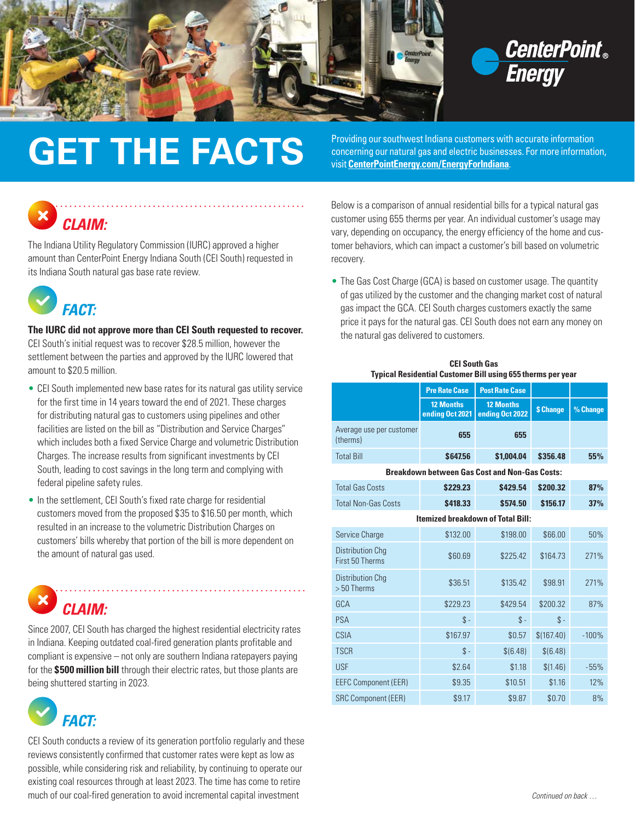



## **GET THE FACTS** Providing our southwest Indiana customers with accurate information<br>visit CenterPointFnergy com/Energy For Molecana Constructions

concerning our natural gas and electric businesses. For more information, visit **[CenterPointEnergy.com/EnergyForIndiana](http://CenterPointEnergy.com/EnergyForIndiana)**.



The Indiana Utility Regulatory Commission (IURC) approved a higher amount than CenterPoint Energy Indiana South (CEI South) requested in its Indiana South natural gas base rate review.



**The IURC did not approve more than CEI South requested to recover.**  CEI South's initial request was to recover \$28.5 million, however the settlement between the parties and approved by the IURC lowered that amount to \$20.5 million.

- CEI South implemented new base rates for its natural gas utility service for the first time in 14 years toward the end of 2021. These charges for distributing natural gas to customers using pipelines and other facilities are listed on the bill as "Distribution and Service Charges" which includes both a fixed Service Charge and volumetric Distribution Charges. The increase results from significant investments by CEI South, leading to cost savings in the long term and complying with federal pipeline safety rules.
- In the settlement, CEI South's fixed rate charge for residential customers moved from the proposed \$35 to \$16.50 per month, which resulted in an increase to the volumetric Distribution Charges on customers' bills whereby that portion of the bill is more dependent on the amount of natural gas used.



Since 2007, CEI South has charged the highest residential electricity rates in Indiana. Keeping outdated coal-fired generation plants profitable and compliant is expensive – not only are southern Indiana ratepayers paying for the **\$500 million bill** through their electric rates, but those plants are being shuttered starting in 2023.

 *FACT:*

CEI South conducts a review of its generation portfolio regularly and these reviews consistently confirmed that customer rates were kept as low as possible, while considering risk and reliability, by continuing to operate our existing coal resources through at least 2023. The time has come to retire much of our coal-fired generation to avoid incremental capital investment *Continued on back …* 

Below is a comparison of annual residential bills for a typical natural gas customer using 655 therms per year. An individual customer's usage may vary, depending on occupancy, the energy efficiency of the home and customer behaviors, which can impact a customer's bill based on volumetric recovery.

• The Gas Cost Charge (GCA) is based on customer usage. The quantity of gas utilized by the customer and the changing market cost of natural gas impact the GCA. CEI South charges customers exactly the same price it pays for the natural gas. CEI South does not earn any money on the natural gas delivered to customers.

| <b>CEI South Gas</b>                                               |
|--------------------------------------------------------------------|
| <b>Typical Residential Customer Bill using 655 therms per year</b> |

|                                                      | <b>Pre Rate Case</b>                | <b>Post Rate Case</b>               |               |          |  |
|------------------------------------------------------|-------------------------------------|-------------------------------------|---------------|----------|--|
|                                                      | <b>12 Months</b><br>ending Oct 2021 | <b>12 Months</b><br>ending Oct 2022 | \$ Change     | % Change |  |
| Average use per customer<br>(therms)                 | 655                                 | 655                                 |               |          |  |
| <b>Total Bill</b>                                    | \$647.56                            | \$1.004.04                          | \$356.48      | 55%      |  |
| <b>Breakdown between Gas Cost and Non-Gas Costs:</b> |                                     |                                     |               |          |  |
| <b>Total Gas Costs</b>                               | \$229.23                            | \$429.54                            | \$200.32      | 87%      |  |
| <b>Total Non-Gas Costs</b>                           | \$418.33                            | \$574.50                            | \$156.17      | 37%      |  |
| <b>Itemized breakdown of Total Bill:</b>             |                                     |                                     |               |          |  |
| Service Charge                                       | \$132.00                            | \$198.00                            | \$66.00       | 50%      |  |
| Distribution Cha<br>First 50 Therms                  | \$60.69                             | \$225.42                            | \$164.73      | 271%     |  |
| <b>Distribution Chq</b><br>$> 50$ Therms             | \$36.51                             | \$135.42                            | \$98.91       | 271%     |  |
| GCA                                                  | \$229.23                            | \$429.54                            | \$200.32      | 87%      |  |
| PSA                                                  | $\text{\$\,}$                       | $\text{\$\,}$                       | $\text{\$\,}$ |          |  |
| CSIA                                                 | \$167.97                            | \$0.57                              | \$(167.40)    | $-100%$  |  |
| <b>TSCR</b>                                          | $\mathcal{S}$ -                     | \$(6.48)                            | \$ (6.48)     |          |  |
| <b>USF</b>                                           | \$2.64                              | \$1.18                              | \$(1.46)      | $-55%$   |  |
| <b>EEFC Component (EER)</b>                          | \$9.35                              | \$10.51                             | \$1.16        | 12%      |  |
| <b>SRC Component (EER)</b>                           | \$9.17                              | \$9.87                              | \$0.70        | 8%       |  |